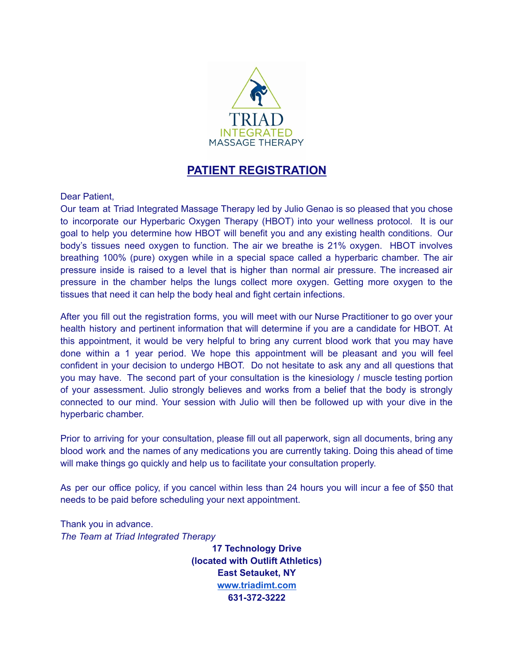

## **PATIENT REGISTRATION**

Dear Patient,

Our team at Triad Integrated Massage Therapy led by Julio Genao is so pleased that you chose to incorporate our Hyperbaric Oxygen Therapy (HBOT) into your wellness protocol. It is our goal to help you determine how HBOT will benefit you and any existing health conditions. Our body's tissues need oxygen to function. The air we breathe is 21% oxygen. HBOT involves breathing 100% (pure) oxygen while in a special space called a hyperbaric chamber. The air pressure inside is raised to a level that is higher than normal air pressure. The increased air pressure in the chamber helps the lungs collect more oxygen. Getting more oxygen to the tissues that need it can help the body heal and fight certain infections.

After you fill out the registration forms, you will meet with our Nurse Practitioner to go over your health history and pertinent information that will determine if you are a candidate for HBOT. At this appointment, it would be very helpful to bring any current blood work that you may have done within a 1 year period. We hope this appointment will be pleasant and you will feel confident in your decision to undergo HBOT. Do not hesitate to ask any and all questions that you may have. The second part of your consultation is the kinesiology / muscle testing portion of your assessment. Julio strongly believes and works from a belief that the body is strongly connected to our mind. Your session with Julio will then be followed up with your dive in the hyperbaric chamber.

Prior to arriving for your consultation, please fill out all paperwork, sign all documents, bring any blood work and the names of any medications you are currently taking. Doing this ahead of time will make things go quickly and help us to facilitate your consultation properly.

As per our office policy, if you cancel within less than 24 hours you will incur a fee of \$50 that needs to be paid before scheduling your next appointment.

Thank you in advance. *The Team at Triad Integrated Therapy*

> **17 Technology Drive (located with Outlift Athletics) East Setauket, NY [www.triadimt.com](http://www.triadimt.com) 631-372-3222**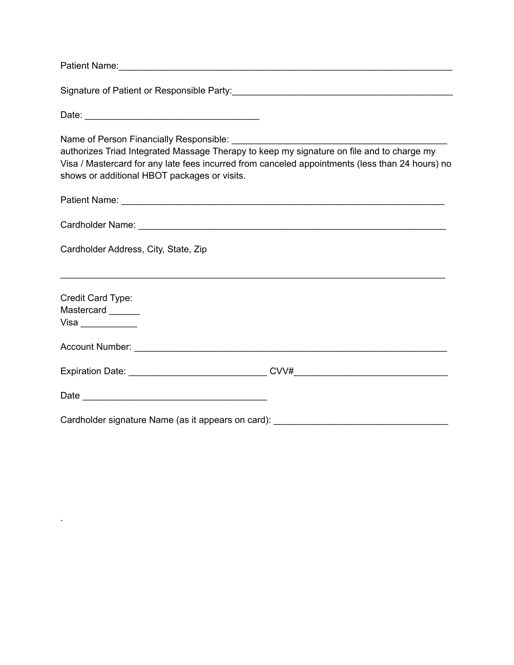|                                                                                                                                           | Signature of Patient or Responsible Party:<br><u> and Carlin Communications</u> and Communications of Patients and Party in the Party of Party and Party and Party in |
|-------------------------------------------------------------------------------------------------------------------------------------------|-----------------------------------------------------------------------------------------------------------------------------------------------------------------------|
|                                                                                                                                           |                                                                                                                                                                       |
| authorizes Triad Integrated Massage Therapy to keep my signature on file and to charge my<br>shows or additional HBOT packages or visits. | Visa / Mastercard for any late fees incurred from canceled appointments (less than 24 hours) no                                                                       |
|                                                                                                                                           |                                                                                                                                                                       |
|                                                                                                                                           |                                                                                                                                                                       |
| Cardholder Address, City, State, Zip                                                                                                      |                                                                                                                                                                       |
| Credit Card Type:<br>Mastercard ______                                                                                                    |                                                                                                                                                                       |
|                                                                                                                                           |                                                                                                                                                                       |
|                                                                                                                                           |                                                                                                                                                                       |
|                                                                                                                                           |                                                                                                                                                                       |
|                                                                                                                                           | Cardholder signature Name (as it appears on card): _____________________________                                                                                      |

.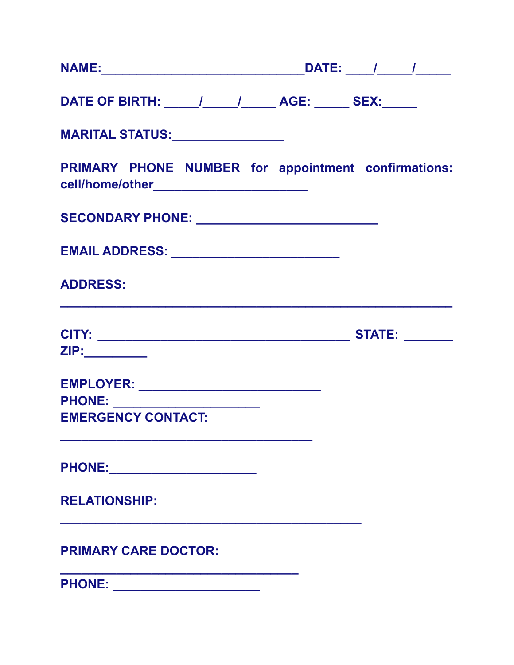| DATE OF BIRTH: ______/_______/_______ AGE: ______ SEX:______                                      |  |
|---------------------------------------------------------------------------------------------------|--|
| <b>MARITAL STATUS:________________</b>                                                            |  |
| PRIMARY PHONE NUMBER for appointment confirmations:<br>cell/home/other___________________________ |  |
| SECONDARY PHONE: ___________________________                                                      |  |
|                                                                                                   |  |
| <b>ADDRESS:</b>                                                                                   |  |
|                                                                                                   |  |
| ZIP:_________                                                                                     |  |
|                                                                                                   |  |
|                                                                                                   |  |
| <b>EMERGENCY CONTACT:</b>                                                                         |  |
|                                                                                                   |  |
| <b>RELATIONSHIP:</b>                                                                              |  |
| <b>PRIMARY CARE DOCTOR:</b>                                                                       |  |
| PHONE: ________________________                                                                   |  |